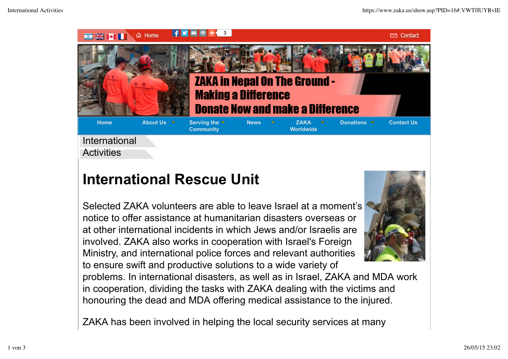

## **International Rescue Unit**

Selected ZAKA volunteers are able to leave Israel at a moment's notice to offer assistance at humanitarian disasters overseas or at other international incidents in which Jews and/or Israelis are involved. ZAKA also works in cooperation with Israel's Foreign Ministry, and international police forces and relevant authorities to ensure swift and productive solutions to a wide variety of



problems. In international disasters, as well as in Israel, ZAKA and MDA work in cooperation, dividing the tasks with ZAKA dealing with the victims and honouring the dead and MDA offering medical assistance to the injured.

ZAKA has been involved in helping the local security services at many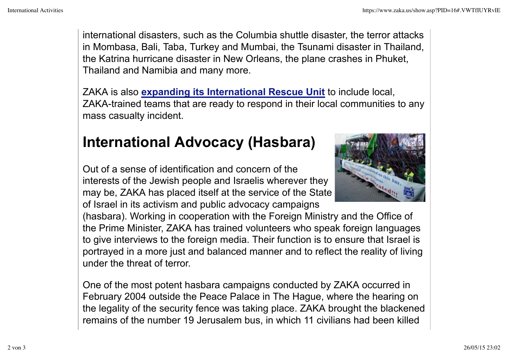international disasters, such as the Columbia shuttle disaster, the terror attacks in Mombasa, Bali, Taba, Turkey and Mumbai, the Tsunami disaster in Thailand, the Katrina hurricane disaster in New Orleans, the plane crashes in Phuket, Thailand and Namibia and many more.

ZAKA is also **expanding its International Rescue Unit** to include local, ZAKA-trained teams that are ready to respond in their local communities to any mass casualty incident.

## **International Advocacy (Hasbara)**

Out of a sense of identification and concern of the interests of the Jewish people and Israelis wherever they may be, ZAKA has placed itself at the service of the State of Israel in its activism and public advocacy campaigns

(hasbara). Working in cooperation with the Foreign Ministry and the Office of the Prime Minister, ZAKA has trained volunteers who speak foreign languages to give interviews to the foreign media. Their function is to ensure that Israel is portrayed in a more just and balanced manner and to reflect the reality of living under the threat of terror.

One of the most potent hasbara campaigns conducted by ZAKA occurred in February 2004 outside the Peace Palace in The Hague, where the hearing on the legality of the security fence was taking place. ZAKA brought the blackened remains of the number 19 Jerusalem bus, in which 11 civilians had been killed